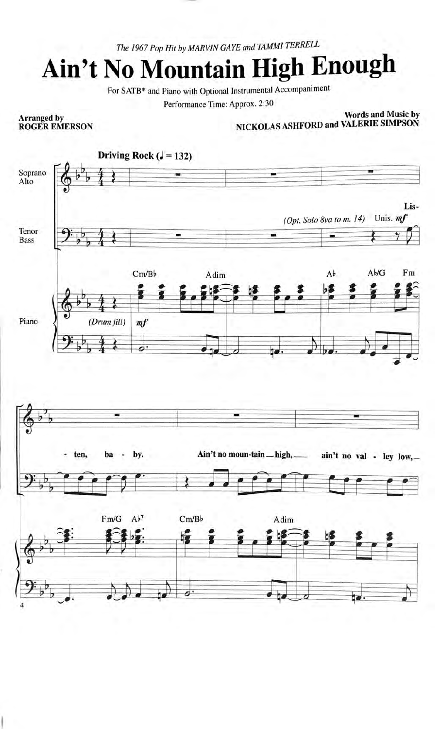The 1967 Pop Hit by MARVIN GAYE and TAMMI TERRELL

## Ain't No Mountain High Enough

For SATB\* and Piano with Optional Instrumental Accompaniment

Performance Time: Approx. 2:30

## **Arranged by<br>ROGER EMERSON**

**Words and Music by** NICKOLAS ASHFORD and VALERIE SIMPSON

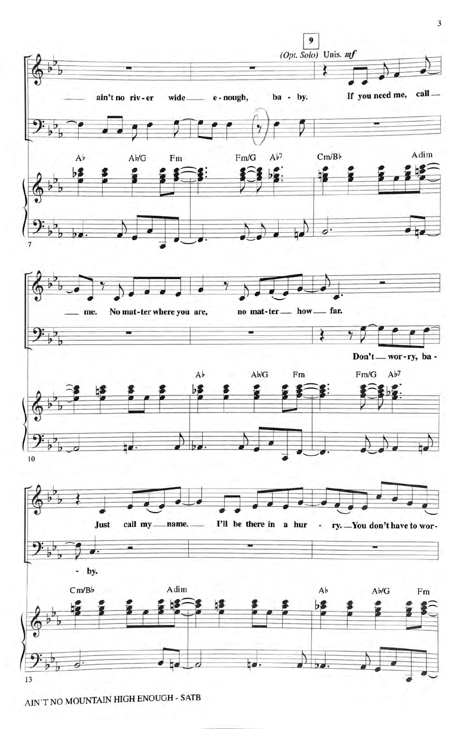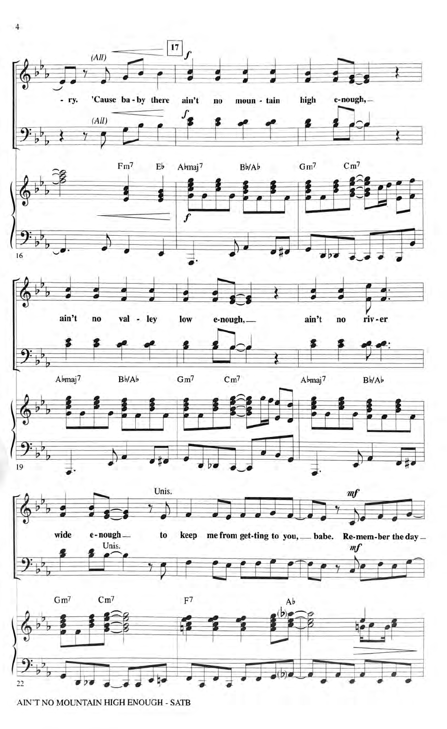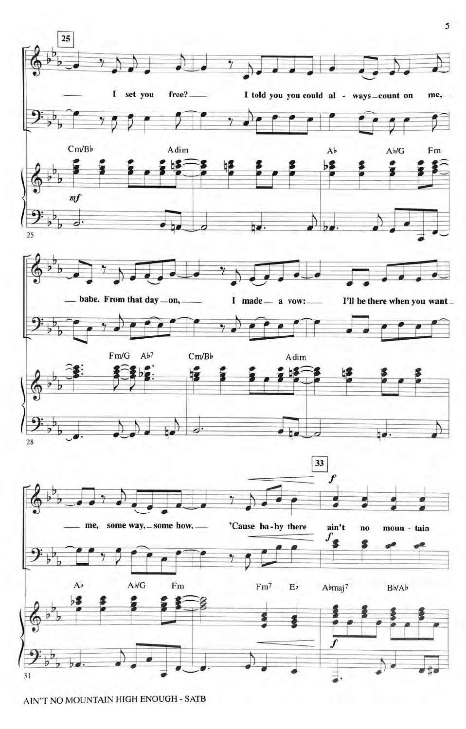

AIN'T NO MOUNTAIN HIGH ENOUGH - SATB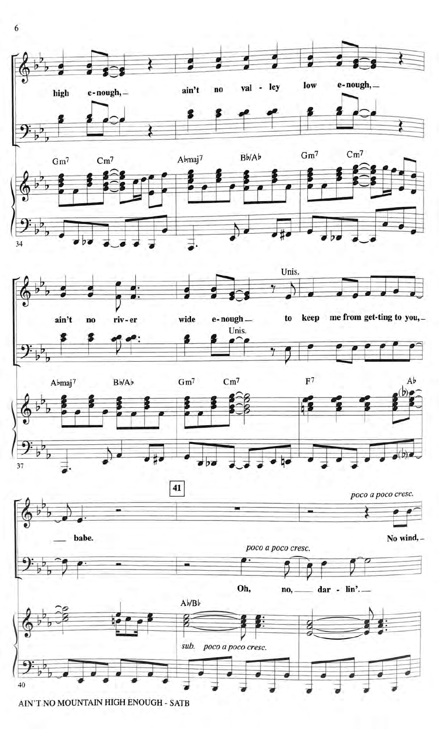

6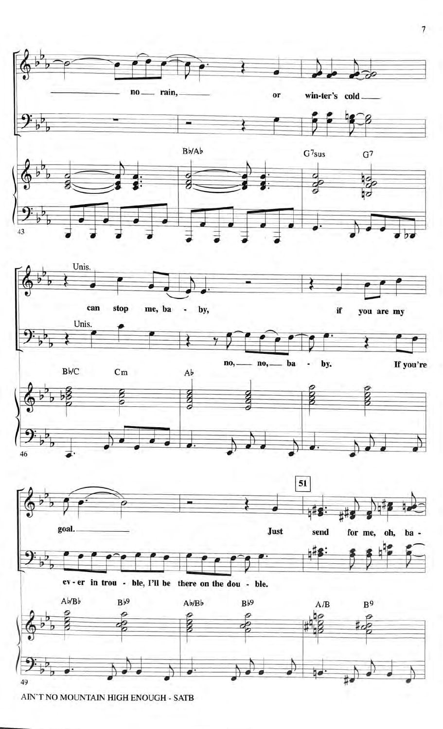

 $\overline{7}$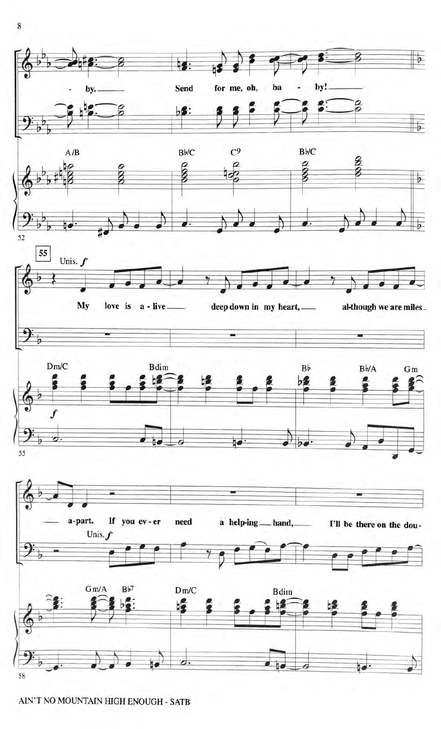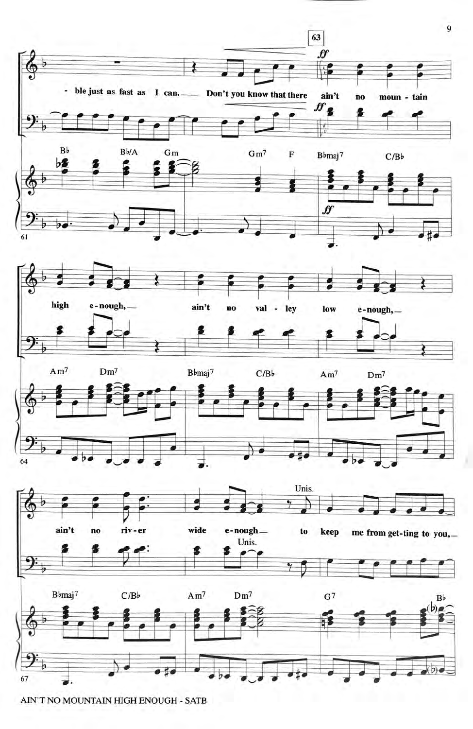

AIN'T NO MOUNTAIN HIGH ENOUGH - SATB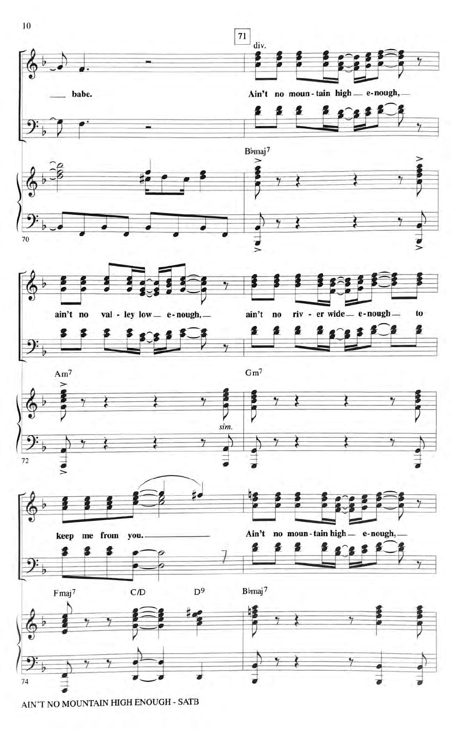

AIN'T NO MOUNTAIN HIGH ENOUGH - SATB